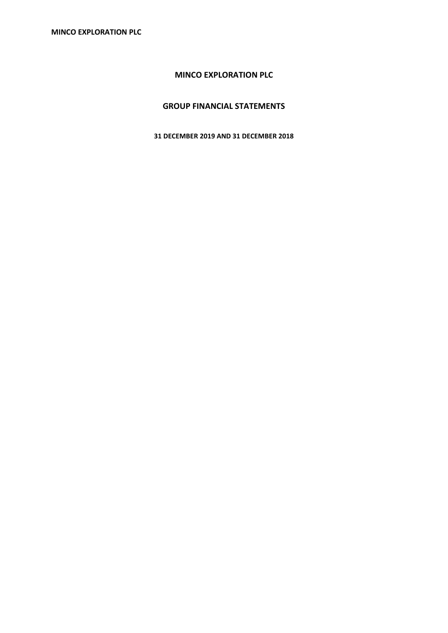# **MINCO EXPLORATION PLC**

# **GROUP FINANCIAL STATEMENTS**

**31 DECEMBER 2019 AND 31 DECEMBER 2018**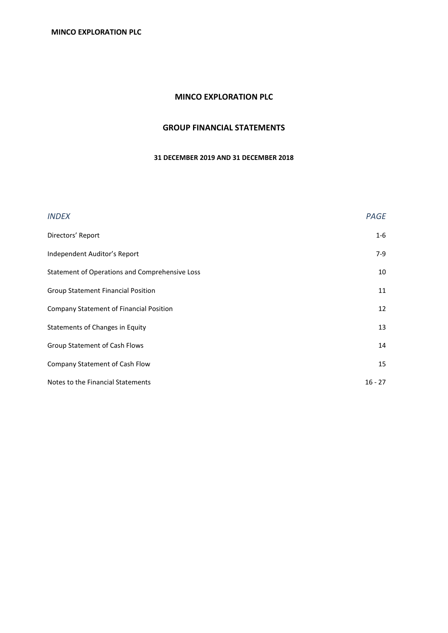# **GROUP FINANCIAL STATEMENTS**

# **31 DECEMBER 2019 AND 31 DECEMBER 2018**

| <b>INDEX</b>                                   | PAGE      |
|------------------------------------------------|-----------|
| Directors' Report                              | $1 - 6$   |
| Independent Auditor's Report                   | $7-9$     |
| Statement of Operations and Comprehensive Loss | 10        |
| <b>Group Statement Financial Position</b>      | 11        |
| <b>Company Statement of Financial Position</b> | 12        |
| Statements of Changes in Equity                | 13        |
| Group Statement of Cash Flows                  | 14        |
| Company Statement of Cash Flow                 | 15        |
| Notes to the Financial Statements              | $16 - 27$ |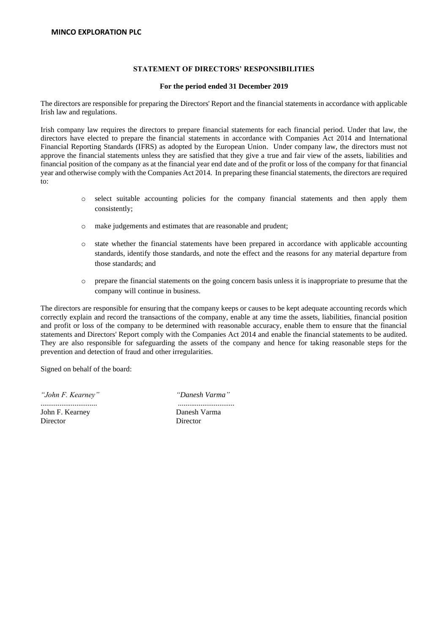# **STATEMENT OF DIRECTORS' RESPONSIBILITIES**

# **For the period ended 31 December 2019**

The directors are responsible for preparing the Directors' Report and the financial statements in accordance with applicable Irish law and regulations.

Irish company law requires the directors to prepare financial statements for each financial period. Under that law, the directors have elected to prepare the financial statements in accordance with Companies Act 2014 and International Financial Reporting Standards (IFRS) as adopted by the European Union. Under company law, the directors must not approve the financial statements unless they are satisfied that they give a true and fair view of the assets, liabilities and financial position of the company as at the financial year end date and of the profit or loss of the company for that financial year and otherwise comply with the Companies Act 2014. In preparing these financial statements, the directors are required to:

- o select suitable accounting policies for the company financial statements and then apply them consistently;
- o make judgements and estimates that are reasonable and prudent;
- o state whether the financial statements have been prepared in accordance with applicable accounting standards, identify those standards, and note the effect and the reasons for any material departure from those standards; and
- o prepare the financial statements on the going concern basis unless it is inappropriate to presume that the company will continue in business.

The directors are responsible for ensuring that the company keeps or causes to be kept adequate accounting records which correctly explain and record the transactions of the company, enable at any time the assets, liabilities, financial position and profit or loss of the company to be determined with reasonable accuracy, enable them to ensure that the financial statements and Directors' Report comply with the Companies Act 2014 and enable the financial statements to be audited. They are also responsible for safeguarding the assets of the company and hence for taking reasonable steps for the prevention and detection of fraud and other irregularities.

Signed on behalf of the board:

*"John F. Kearney" "Danesh Varma"*

John F. Kearney Danesh Varma Director Director

.............................. ..............................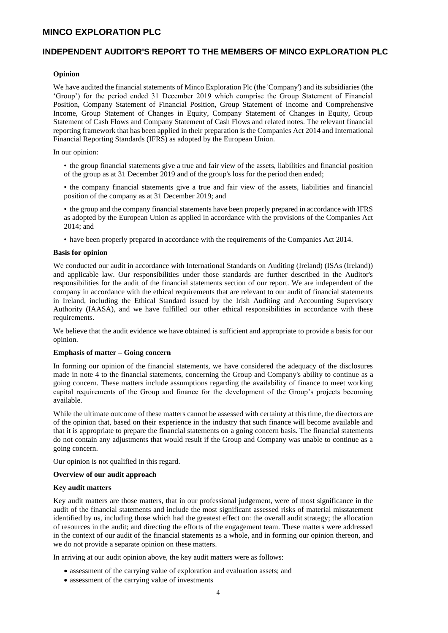# **INDEPENDENT AUDITOR'S REPORT TO THE MEMBERS OF MINCO EXPLORATION PLC**

# **Opinion**

We have audited the financial statements of Minco Exploration Plc (the 'Company') and its subsidiaries (the 'Group') for the period ended 31 December 2019 which comprise the Group Statement of Financial Position, Company Statement of Financial Position, Group Statement of Income and Comprehensive Income, Group Statement of Changes in Equity, Company Statement of Changes in Equity, Group Statement of Cash Flows and Company Statement of Cash Flows and related notes. The relevant financial reporting framework that has been applied in their preparation is the Companies Act 2014 and International Financial Reporting Standards (IFRS) as adopted by the European Union.

In our opinion:

- the group financial statements give a true and fair view of the assets, liabilities and financial position of the group as at 31 December 2019 and of the group's loss for the period then ended;
- the company financial statements give a true and fair view of the assets, liabilities and financial position of the company as at 31 December 2019; and
- the group and the company financial statements have been properly prepared in accordance with IFRS as adopted by the European Union as applied in accordance with the provisions of the Companies Act 2014; and
- have been properly prepared in accordance with the requirements of the Companies Act 2014.

#### **Basis for opinion**

We conducted our audit in accordance with International Standards on Auditing (Ireland) (ISAs (Ireland)) and applicable law. Our responsibilities under those standards are further described in the Auditor's responsibilities for the audit of the financial statements section of our report. We are independent of the company in accordance with the ethical requirements that are relevant to our audit of financial statements in Ireland, including the Ethical Standard issued by the Irish Auditing and Accounting Supervisory Authority (IAASA), and we have fulfilled our other ethical responsibilities in accordance with these requirements.

We believe that the audit evidence we have obtained is sufficient and appropriate to provide a basis for our opinion.

# **Emphasis of matter – Going concern**

In forming our opinion of the financial statements, we have considered the adequacy of the disclosures made in note 4 to the financial statements, concerning the Group and Company's ability to continue as a going concern. These matters include assumptions regarding the availability of finance to meet working capital requirements of the Group and finance for the development of the Group's projects becoming available.

While the ultimate outcome of these matters cannot be assessed with certainty at this time, the directors are of the opinion that, based on their experience in the industry that such finance will become available and that it is appropriate to prepare the financial statements on a going concern basis. The financial statements do not contain any adjustments that would result if the Group and Company was unable to continue as a going concern.

Our opinion is not qualified in this regard.

# **Overview of our audit approach**

#### **Key audit matters**

Key audit matters are those matters, that in our professional judgement, were of most significance in the audit of the financial statements and include the most significant assessed risks of material misstatement identified by us, including those which had the greatest effect on: the overall audit strategy; the allocation of resources in the audit; and directing the efforts of the engagement team. These matters were addressed in the context of our audit of the financial statements as a whole, and in forming our opinion thereon, and we do not provide a separate opinion on these matters.

In arriving at our audit opinion above, the key audit matters were as follows:

- assessment of the carrying value of exploration and evaluation assets; and
- assessment of the carrying value of investments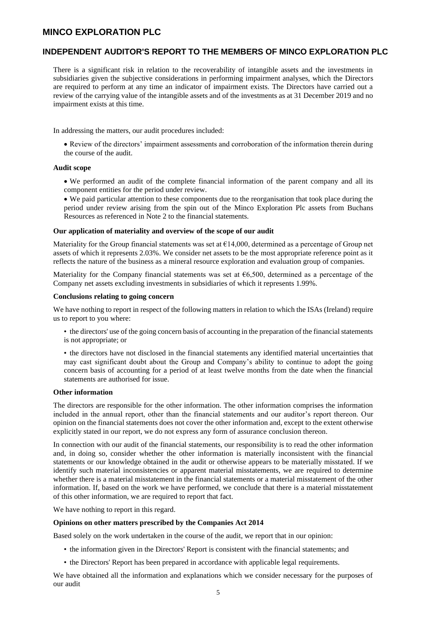# **INDEPENDENT AUDITOR'S REPORT TO THE MEMBERS OF MINCO EXPLORATION PLC**

There is a significant risk in relation to the recoverability of intangible assets and the investments in subsidiaries given the subjective considerations in performing impairment analyses, which the Directors are required to perform at any time an indicator of impairment exists. The Directors have carried out a review of the carrying value of the intangible assets and of the investments as at 31 December 2019 and no impairment exists at this time.

In addressing the matters, our audit procedures included:

• Review of the directors' impairment assessments and corroboration of the information therein during the course of the audit.

# **Audit scope**

• We performed an audit of the complete financial information of the parent company and all its component entities for the period under review.

• We paid particular attention to these components due to the reorganisation that took place during the period under review arising from the spin out of the Minco Exploration Plc assets from Buchans Resources as referenced in Note 2 to the financial statements.

# **Our application of materiality and overview of the scope of our audit**

Materiality for the Group financial statements was set at  $\epsilon$ 14,000, determined as a percentage of Group net assets of which it represents 2.03%. We consider net assets to be the most appropriate reference point as it reflects the nature of the business as a mineral resource exploration and evaluation group of companies.

Materiality for the Company financial statements was set at  $66,500$ , determined as a percentage of the Company net assets excluding investments in subsidiaries of which it represents 1.99%.

# **Conclusions relating to going concern**

We have nothing to report in respect of the following matters in relation to which the ISAs (Ireland) require us to report to you where:

- the directors' use of the going concern basis of accounting in the preparation of the financial statements is not appropriate; or
- the directors have not disclosed in the financial statements any identified material uncertainties that may cast significant doubt about the Group and Company's ability to continue to adopt the going concern basis of accounting for a period of at least twelve months from the date when the financial statements are authorised for issue.

# **Other information**

The directors are responsible for the other information. The other information comprises the information included in the annual report, other than the financial statements and our auditor's report thereon. Our opinion on the financial statements does not cover the other information and, except to the extent otherwise explicitly stated in our report, we do not express any form of assurance conclusion thereon.

In connection with our audit of the financial statements, our responsibility is to read the other information and, in doing so, consider whether the other information is materially inconsistent with the financial statements or our knowledge obtained in the audit or otherwise appears to be materially misstated. If we identify such material inconsistencies or apparent material misstatements, we are required to determine whether there is a material misstatement in the financial statements or a material misstatement of the other information. If, based on the work we have performed, we conclude that there is a material misstatement of this other information, we are required to report that fact.

We have nothing to report in this regard.

# **Opinions on other matters prescribed by the Companies Act 2014**

Based solely on the work undertaken in the course of the audit, we report that in our opinion:

- the information given in the Directors' Report is consistent with the financial statements; and
- the Directors' Report has been prepared in accordance with applicable legal requirements.

We have obtained all the information and explanations which we consider necessary for the purposes of our audit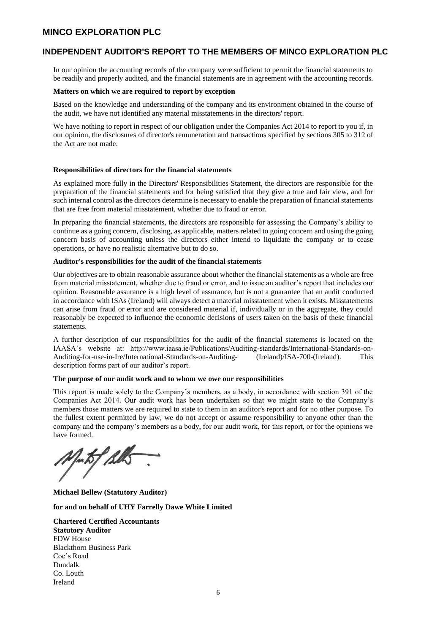# **INDEPENDENT AUDITOR'S REPORT TO THE MEMBERS OF MINCO EXPLORATION PLC**

In our opinion the accounting records of the company were sufficient to permit the financial statements to be readily and properly audited, and the financial statements are in agreement with the accounting records.

#### **Matters on which we are required to report by exception**

Based on the knowledge and understanding of the company and its environment obtained in the course of the audit, we have not identified any material misstatements in the directors' report.

We have nothing to report in respect of our obligation under the Companies Act 2014 to report to you if, in our opinion, the disclosures of director's remuneration and transactions specified by sections 305 to 312 of the Act are not made.

# **Responsibilities of directors for the financial statements**

As explained more fully in the Directors' Responsibilities Statement, the directors are responsible for the preparation of the financial statements and for being satisfied that they give a true and fair view, and for such internal control as the directors determine is necessary to enable the preparation of financial statements that are free from material misstatement, whether due to fraud or error.

In preparing the financial statements, the directors are responsible for assessing the Company's ability to continue as a going concern, disclosing, as applicable, matters related to going concern and using the going concern basis of accounting unless the directors either intend to liquidate the company or to cease operations, or have no realistic alternative but to do so.

#### **Auditor's responsibilities for the audit of the financial statements**

Our objectives are to obtain reasonable assurance about whether the financial statements as a whole are free from material misstatement, whether due to fraud or error, and to issue an auditor's report that includes our opinion. Reasonable assurance is a high level of assurance, but is not a guarantee that an audit conducted in accordance with ISAs (Ireland) will always detect a material misstatement when it exists. Misstatements can arise from fraud or error and are considered material if, individually or in the aggregate, they could reasonably be expected to influence the economic decisions of users taken on the basis of these financial statements.

A further description of our responsibilities for the audit of the financial statements is located on the IAASA's website at: http://www.iaasa.ie/Publications/Auditing-standards/International-Standards-on-Auditing-for-use-in-Ire/International-Standards-on-Auditing- (Ireland)/ISA-700-(Ireland). This description forms part of our auditor's report.

# **The purpose of our audit work and to whom we owe our responsibilities**

This report is made solely to the Company's members, as a body, in accordance with section 391 of the Companies Act 2014. Our audit work has been undertaken so that we might state to the Company's members those matters we are required to state to them in an auditor's report and for no other purpose. To the fullest extent permitted by law, we do not accept or assume responsibility to anyone other than the company and the company's members as a body, for our audit work, for this report, or for the opinions we have formed.

t/ plbs

**Michael Bellew (Statutory Auditor)**

**for and on behalf of UHY Farrelly Dawe White Limited**

**Chartered Certified Accountants Statutory Auditor** FDW House Blackthorn Business Park Coe's Road Dundalk Co. Louth Ireland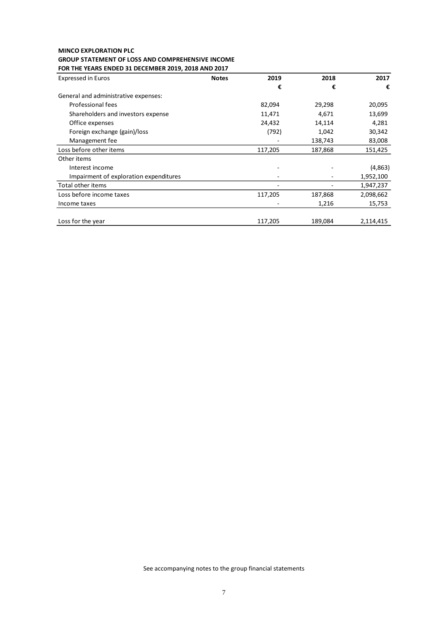# **MINCO EXPLORATION PLC GROUP STATEMENT OF LOSS AND COMPREHENSIVE INCOME FOR THE YEARS ENDED 31 DECEMBER 2019, 2018 AND 2017**

| <b>Expressed in Euros</b>              | <b>Notes</b> | 2019    | 2018    | 2017      |
|----------------------------------------|--------------|---------|---------|-----------|
|                                        |              | €       | €       | €         |
| General and administrative expenses:   |              |         |         |           |
| Professional fees                      |              | 82,094  | 29,298  | 20,095    |
| Shareholders and investors expense     |              | 11,471  | 4,671   | 13,699    |
| Office expenses                        |              | 24,432  | 14,114  | 4,281     |
| Foreign exchange (gain)/loss           |              | (792)   | 1,042   | 30,342    |
| Management fee                         |              |         | 138,743 | 83,008    |
| Loss before other items                |              | 117,205 | 187,868 | 151,425   |
| Other items                            |              |         |         |           |
| Interest income                        |              |         |         | (4,863)   |
| Impairment of exploration expenditures |              |         |         | 1,952,100 |
| Total other items                      |              |         |         | 1,947,237 |
| Loss before income taxes               |              | 117,205 | 187,868 | 2,098,662 |
| Income taxes                           |              |         | 1,216   | 15,753    |
|                                        |              |         |         |           |
| Loss for the year                      |              | 117,205 | 189,084 | 2,114,415 |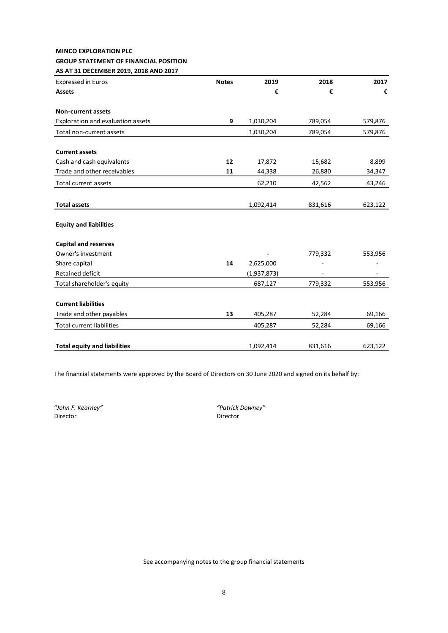# **GROUP STATEMENT OF FINANCIAL POSITION**

|  | AS AT 31 DECEMBER 2019, 2018 AND 2017 |  |  |
|--|---------------------------------------|--|--|
|--|---------------------------------------|--|--|

| <b>Expressed in Euros</b>           | <b>Notes</b> | 2019        | 2018    | 2017    |
|-------------------------------------|--------------|-------------|---------|---------|
| <b>Assets</b>                       |              | €           | €       | €       |
|                                     |              |             |         |         |
| <b>Non-current assets</b>           |              |             |         |         |
| Exploration and evaluation assets   | 9            | 1,030,204   | 789,054 | 579,876 |
| Total non-current assets            |              | 1,030,204   | 789,054 | 579,876 |
| <b>Current assets</b>               |              |             |         |         |
| Cash and cash equivalents           | 12           | 17,872      | 15,682  | 8,899   |
| Trade and other receivables         | 11           | 44,338      | 26,880  | 34,347  |
| Total current assets                |              | 62,210      | 42,562  | 43,246  |
|                                     |              |             |         |         |
| <b>Total assets</b>                 |              | 1,092,414   | 831,616 | 623,122 |
| <b>Equity and liabilities</b>       |              |             |         |         |
| <b>Capital and reserves</b>         |              |             |         |         |
| Owner's investment                  |              |             | 779,332 | 553,956 |
| Share capital                       | 14           | 2,625,000   |         |         |
| <b>Retained deficit</b>             |              | (1,937,873) |         |         |
| Total shareholder's equity          |              | 687,127     | 779,332 | 553,956 |
| <b>Current liabilities</b>          |              |             |         |         |
|                                     |              |             |         |         |
| Trade and other payables            | 13           | 405,287     | 52,284  | 69,166  |
| <b>Total current liabilities</b>    |              | 405,287     | 52,284  | 69,166  |
| <b>Total equity and liabilities</b> |              | 1,092,414   | 831,616 | 623,122 |

The financial statements were approved by the Board of Directors on 30 June 2020 and signed on its behalf by:

Director

"*John F. Kearney" "Patrick Downey"*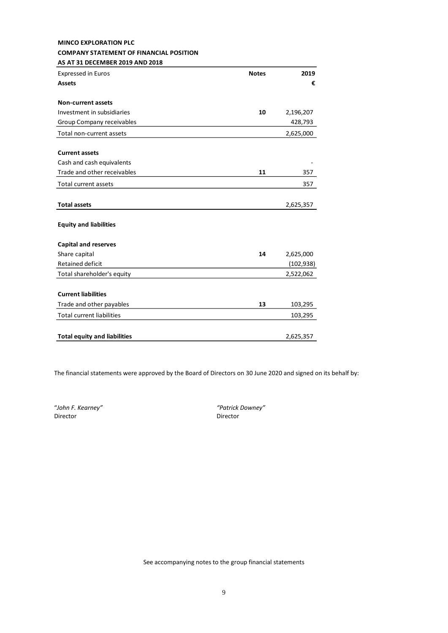# **MINCO EXPLORATION PLC COMPANY STATEMENT OF FINANCIAL POSITION**

| AS AT 31 DECEMBER 2019 AND 2018     |              |            |
|-------------------------------------|--------------|------------|
| <b>Expressed in Euros</b>           | <b>Notes</b> | 2019       |
| <b>Assets</b>                       |              | €          |
| <b>Non-current assets</b>           |              |            |
| Investment in subsidiaries          | 10           | 2,196,207  |
| Group Company receivables           |              | 428,793    |
| Total non-current assets            |              | 2,625,000  |
| <b>Current assets</b>               |              |            |
| Cash and cash equivalents           |              |            |
| Trade and other receivables         | 11           | 357        |
| <b>Total current assets</b>         |              | 357        |
| <b>Total assets</b>                 |              | 2,625,357  |
| <b>Equity and liabilities</b>       |              |            |
| <b>Capital and reserves</b>         |              |            |
| Share capital                       | 14           | 2,625,000  |
| <b>Retained deficit</b>             |              | (102, 938) |
| Total shareholder's equity          |              | 2,522,062  |
| <b>Current liabilities</b>          |              |            |
| Trade and other payables            | 13           | 103,295    |
| <b>Total current liabilities</b>    |              | 103,295    |
| <b>Total equity and liabilities</b> |              | 2,625,357  |

The financial statements were approved by the Board of Directors on 30 June 2020 and signed on its behalf by:

Director

"*John F. Kearney" "Patrick Downey"*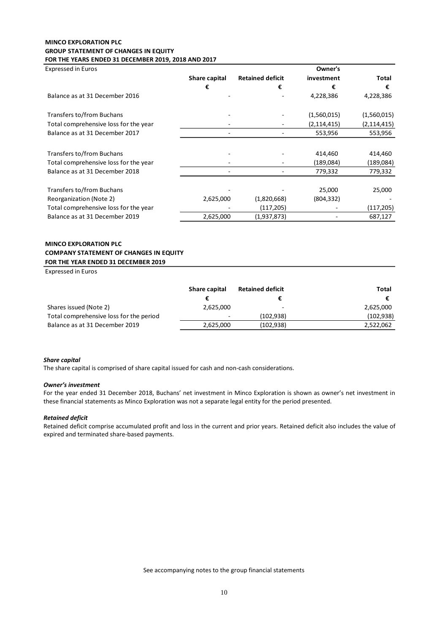# **MINCO EXPLORATION PLC GROUP STATEMENT OF CHANGES IN EQUITY FOR THE YEARS ENDED 31 DECEMBER 2019, 2018 AND 2017**

| <b>Expressed in Euros</b>             |               |                         | Owner's       |               |
|---------------------------------------|---------------|-------------------------|---------------|---------------|
|                                       | Share capital | <b>Retained deficit</b> | investment    | Total         |
|                                       | €             | €                       | €             | €             |
| Balance as at 31 December 2016        |               |                         | 4,228,386     | 4,228,386     |
| Transfers to/from Buchans             |               |                         | (1,560,015)   | (1,560,015)   |
| Total comprehensive loss for the year |               |                         | (2, 114, 415) | (2, 114, 415) |
| Balance as at 31 December 2017        |               |                         | 553,956       | 553,956       |
| Transfers to/from Buchans             |               |                         | 414,460       | 414,460       |
| Total comprehensive loss for the year |               |                         | (189,084)     | (189,084)     |
| Balance as at 31 December 2018        |               |                         | 779,332       | 779,332       |
| Transfers to/from Buchans             |               |                         | 25,000        | 25,000        |
| Reorganization (Note 2)               | 2,625,000     | (1,820,668)             | (804, 332)    |               |
| Total comprehensive loss for the year |               | (117, 205)              |               | (117,205)     |
| Balance as at 31 December 2019        | 2,625,000     | (1,937,873)             |               | 687,127       |

# **MINCO EXPLORATION PLC COMPANY STATEMENT OF CHANGES IN EQUITY FOR THE YEAR ENDED 31 DECEMBER 2019**

Expressed in Euros

|                                         | Share capital            | <b>Retained deficit</b> | Total      |
|-----------------------------------------|--------------------------|-------------------------|------------|
|                                         |                          |                         |            |
| Shares issued (Note 2)                  | 2,625,000                | $\sim$                  | 2,625,000  |
| Total comprehensive loss for the period | $\overline{\phantom{a}}$ | (102.938)               | (102, 938) |
| Balance as at 31 December 2019          | 2.625.000                | (102.938)               | 2,522,062  |

#### *Share capital*

The share capital is comprised of share capital issued for cash and non-cash considerations.

#### *Owner's investment*

For the year ended 31 December 2018, Buchans' net investment in Minco Exploration is shown as owner's net investment in these financial statements as Minco Exploration was not a separate legal entity for the period presented.

#### *Retained deficit*

Retained deficit comprise accumulated profit and loss in the current and prior years. Retained deficit also includes the value of expired and terminated share-based payments.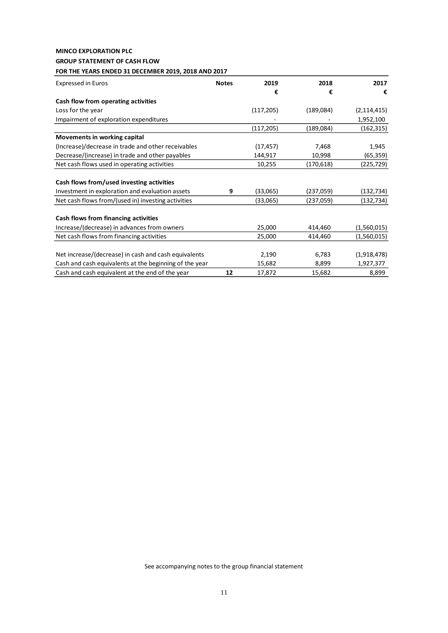# **MINCO EXPLORATION PLC GROUP STATEMENT OF CASH FLOW FOR THE YEARS ENDED 31 DECEMBER 2019, 2018 AND 2017**

| <b>Expressed in Euros</b>                              | <b>Notes</b> | 2019       | 2018       | 2017          |
|--------------------------------------------------------|--------------|------------|------------|---------------|
|                                                        |              | €          | €          | €             |
| Cash flow from operating activities                    |              |            |            |               |
| Loss for the year                                      |              | (117, 205) | (189,084)  | (2, 114, 415) |
| Impairment of exploration expenditures                 |              |            |            | 1,952,100     |
|                                                        |              | (117, 205) | (189,084)  | (162, 315)    |
| Movements in working capital                           |              |            |            |               |
| (Increase)/decrease in trade and other receivables     |              | (17, 457)  | 7,468      | 1,945         |
| Decrease/(increase) in trade and other payables        |              | 144,917    | 10,998     | (65, 359)     |
| Net cash flows used in operating activities            |              | 10,255     | (170, 618) | (225,729)     |
|                                                        |              |            |            |               |
| Cash flows from/used investing activities              |              |            |            |               |
| Investment in exploration and evaluation assets        | 9            | (33,065)   | (237,059)  | (132, 734)    |
| Net cash flows from/(used in) investing activities     |              | (33,065)   | (237,059)  | (132, 734)    |
|                                                        |              |            |            |               |
| Cash flows from financing activities                   |              |            |            |               |
| Increase/(decrease) in advances from owners            |              | 25,000     | 414,460    | (1,560,015)   |
| Net cash flows from financing activities               |              | 25,000     | 414,460    | (1,560,015)   |
|                                                        |              |            |            |               |
| Net increase/(decrease) in cash and cash equivalents   |              | 2,190      | 6,783      | (1,918,478)   |
| Cash and cash equivalents at the beginning of the year |              | 15,682     | 8,899      | 1,927,377     |
| Cash and cash equivalent at the end of the year        | 12           | 17,872     | 15,682     | 8,899         |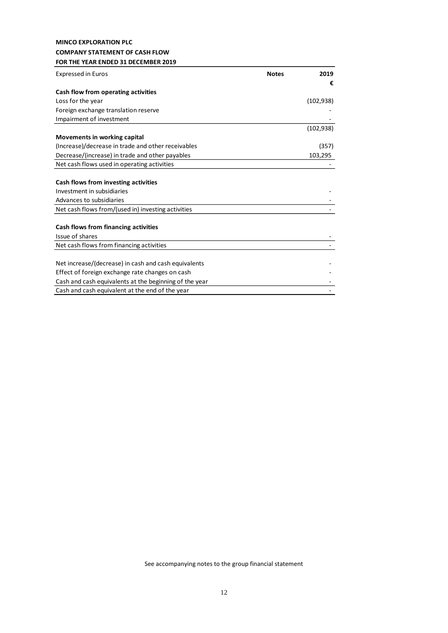# **MINCO EXPLORATION PLC COMPANY STATEMENT OF CASH FLOW FOR THE YEAR ENDED 31 DECEMBER 2019**

| <b>Expressed in Euros</b>                              | <b>Notes</b> | 2019       |
|--------------------------------------------------------|--------------|------------|
| Cash flow from operating activities                    |              | €          |
| Loss for the year                                      |              | (102, 938) |
| Foreign exchange translation reserve                   |              |            |
| Impairment of investment                               |              |            |
|                                                        |              | (102, 938) |
| <b>Movements in working capital</b>                    |              |            |
| (Increase)/decrease in trade and other receivables     |              | (357)      |
| Decrease/(increase) in trade and other payables        |              | 103,295    |
| Net cash flows used in operating activities            |              |            |
|                                                        |              |            |
| Cash flows from investing activities                   |              |            |
| Investment in subsidiaries                             |              |            |
| Advances to subsidiaries                               |              |            |
| Net cash flows from/(used in) investing activities     |              |            |
|                                                        |              |            |
| Cash flows from financing activities                   |              |            |
| Issue of shares                                        |              |            |
| Net cash flows from financing activities               |              |            |
|                                                        |              |            |
| Net increase/(decrease) in cash and cash equivalents   |              |            |
| Effect of foreign exchange rate changes on cash        |              |            |
| Cash and cash equivalents at the beginning of the year |              |            |
| Cash and cash equivalent at the end of the year        |              |            |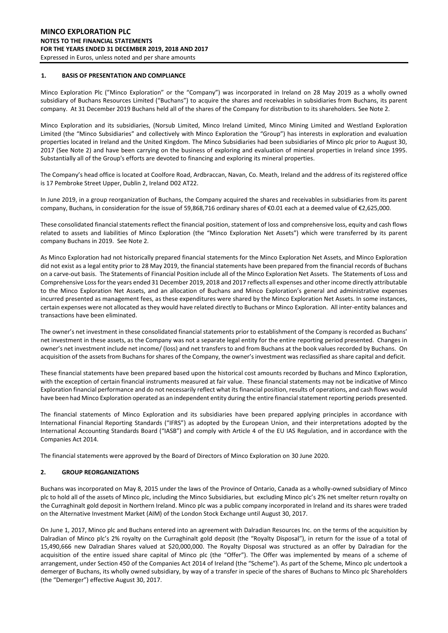### **1. BASIS OF PRESENTATION AND COMPLIANCE**

Minco Exploration Plc ("Minco Exploration" or the "Company") was incorporated in Ireland on 28 May 2019 as a wholly owned subsidiary of Buchans Resources Limited ("Buchans") to acquire the shares and receivables in subsidiaries from Buchans, its parent company. At 31 December 2019 Buchans held all of the shares of the Company for distribution to its shareholders. See Note 2.

Minco Exploration and its subsidiaries, (Norsub Limited, Minco Ireland Limited, Minco Mining Limited and Westland Exploration Limited (the "Minco Subsidiaries" and collectively with Minco Exploration the "Group") has interests in exploration and evaluation properties located in Ireland and the United Kingdom. The Minco Subsidiaries had been subsidiaries of Minco plc prior to August 30, 2017 (See Note 2) and have been carrying on the business of exploring and evaluation of mineral properties in Ireland since 1995. Substantially all of the Group's efforts are devoted to financing and exploring its mineral properties.

The Company's head office is located at Coolfore Road, Ardbraccan, Navan, Co. Meath, Ireland and the address of its registered office is 17 Pembroke Street Upper, Dublin 2, Ireland D02 AT22.

In June 2019, in a group reorganization of Buchans, the Company acquired the shares and receivables in subsidiaries from its parent company, Buchans, in consideration for the issue of 59,868,716 ordinary shares of €0.01 each at a deemed value of €2,625,000.

These consolidated financial statements reflect the financial position, statement of loss and comprehensive loss, equity and cash flows related to assets and liabilities of Minco Exploration (the "Minco Exploration Net Assets") which were transferred by its parent company Buchans in 2019. See Note 2.

As Minco Exploration had not historically prepared financial statements for the Minco Exploration Net Assets, and Minco Exploration did not exist as a legal entity prior to 28 May 2019, the financial statements have been prepared from the financial records of Buchans on a carve-out basis. The Statements of Financial Position include all of the Minco Exploration Net Assets. The Statements of Loss and Comprehensive Loss for the years ended 31 December 2019, 2018 and 2017 reflects all expenses and other income directly attributable to the Minco Exploration Net Assets, and an allocation of Buchans and Minco Exploration's general and administrative expenses incurred presented as management fees, as these expenditures were shared by the Minco Exploration Net Assets. In some instances, certain expenses were not allocated as they would have related directly to Buchans or Minco Exploration. All inter-entity balances and transactions have been eliminated.

The owner's net investment in these consolidated financial statements prior to establishment of the Company is recorded as Buchans' net investment in these assets, as the Company was not a separate legal entity for the entire reporting period presented. Changes in owner's net investment include net income/ (loss) and net transfers to and from Buchans at the book values recorded by Buchans. On acquisition of the assets from Buchans for shares of the Company, the owner's investment was reclassified as share capital and deficit.

These financial statements have been prepared based upon the historical cost amounts recorded by Buchans and Minco Exploration, with the exception of certain financial instruments measured at fair value. These financial statements may not be indicative of Minco Exploration financial performance and do not necessarily reflect what its financial position, results of operations, and cash flows would have been had Minco Exploration operated as an independent entity during the entire financial statement reporting periods presented.

The financial statements of Minco Exploration and its subsidiaries have been prepared applying principles in accordance with International Financial Reporting Standards ("IFRS") as adopted by the European Union, and their interpretations adopted by the International Accounting Standards Board ("IASB") and comply with Article 4 of the EU IAS Regulation, and in accordance with the Companies Act 2014.

The financial statements were approved by the Board of Directors of Minco Exploration on 30 June 2020.

# **2. GROUP REORGANIZATIONS**

Buchans was incorporated on May 8, 2015 under the laws of the Province of Ontario, Canada as a wholly-owned subsidiary of Minco plc to hold all of the assets of Minco plc, including the Minco Subsidiaries, but excluding Minco plc's 2% net smelter return royalty on the Curraghinalt gold deposit in Northern Ireland. Minco plc was a public company incorporated in Ireland and its shares were traded on the Alternative Investment Market (AIM) of the London Stock Exchange until August 30, 2017.

On June 1, 2017, Minco plc and Buchans entered into an agreement with Dalradian Resources Inc. on the terms of the acquisition by Dalradian of Minco plc's 2% royalty on the Curraghinalt gold deposit (the "Royalty Disposal"), in return for the issue of a total of 15,490,666 new Dalradian Shares valued at \$20,000,000. The Royalty Disposal was structured as an offer by Dalradian for the acquisition of the entire issued share capital of Minco plc (the "Offer"). The Offer was implemented by means of a scheme of arrangement, under Section 450 of the Companies Act 2014 of Ireland (the "Scheme"). As part of the Scheme, Minco plc undertook a demerger of Buchans, its wholly owned subsidiary, by way of a transfer in specie of the shares of Buchans to Minco plc Shareholders (the "Demerger") effective August 30, 2017.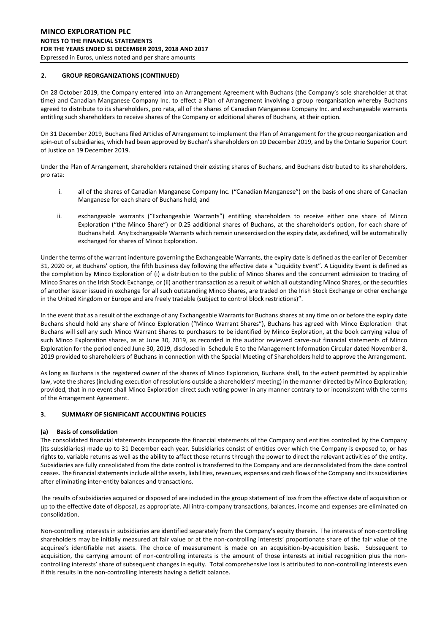# **2. GROUP REORGANIZATIONS (CONTINUED)**

On 28 October 2019, the Company entered into an Arrangement Agreement with Buchans (the Company's sole shareholder at that time) and Canadian Manganese Company Inc. to effect a Plan of Arrangement involving a group reorganisation whereby Buchans agreed to distribute to its shareholders, pro rata, all of the shares of Canadian Manganese Company Inc. and exchangeable warrants entitling such shareholders to receive shares of the Company or additional shares of Buchans, at their option.

On 31 December 2019, Buchans filed Articles of Arrangement to implement the Plan of Arrangement for the group reorganization and spin-out of subsidiaries, which had been approved by Buchan's shareholders on 10 December 2019, and by the Ontario Superior Court of Justice on 19 December 2019.

Under the Plan of Arrangement, shareholders retained their existing shares of Buchans, and Buchans distributed to its shareholders, pro rata:

- i. all of the shares of Canadian Manganese Company Inc. ("Canadian Manganese") on the basis of one share of Canadian Manganese for each share of Buchans held; and
- ii. exchangeable warrants ("Exchangeable Warrants") entitling shareholders to receive either one share of Minco Exploration ("the Minco Share") or 0.25 additional shares of Buchans, at the shareholder's option, for each share of Buchans held. Any Exchangeable Warrants which remain unexercised on the expiry date, as defined, will be automatically exchanged for shares of Minco Exploration.

Under the terms of the warrant indenture governing the Exchangeable Warrants, the expiry date is defined as the earlier of December 31, 2020 or, at Buchans' option, the fifth business day following the effective date a "Liquidity Event". A Liquidity Event is defined as the completion by Minco Exploration of (i) a distribution to the public of Minco Shares and the concurrent admission to trading of Minco Shares on the Irish Stock Exchange, or (ii) another transaction as a result of which all outstanding Minco Shares, or the securities of another issuer issued in exchange for all such outstanding Minco Shares, are traded on the Irish Stock Exchange or other exchange in the United Kingdom or Europe and are freely tradable (subject to control block restrictions)".

In the event that as a result of the exchange of any Exchangeable Warrants for Buchans shares at any time on or before the expiry date Buchans should hold any share of Minco Exploration ("Minco Warrant Shares"), Buchans has agreed with Minco Exploration that Buchans will sell any such Minco Warrant Shares to purchasers to be identified by Minco Exploration, at the book carrying value of such Minco Exploration shares, as at June 30, 2019, as recorded in the auditor reviewed carve-out financial statements of Minco Exploration for the period ended June 30, 2019, disclosed in Schedule E to the Management Information Circular dated November 8, 2019 provided to shareholders of Buchans in connection with the Special Meeting of Shareholders held to approve the Arrangement.

As long as Buchans is the registered owner of the shares of Minco Exploration, Buchans shall, to the extent permitted by applicable law, vote the shares (including execution of resolutions outside a shareholders' meeting) in the manner directed by Minco Exploration; provided, that in no event shall Minco Exploration direct such voting power in any manner contrary to or inconsistent with the terms of the Arrangement Agreement.

# **3. SUMMARY OF SIGNIFICANT ACCOUNTING POLICIES**

# **(a) Basis of consolidation**

The consolidated financial statements incorporate the financial statements of the Company and entities controlled by the Company (its subsidiaries) made up to 31 December each year. Subsidiaries consist of entities over which the Company is exposed to, or has rights to, variable returns as well as the ability to affect those returns through the power to direct the relevant activities of the entity. Subsidiaries are fully consolidated from the date control is transferred to the Company and are deconsolidated from the date control ceases. The financial statements include all the assets, liabilities, revenues, expenses and cash flows of the Company and its subsidiaries after eliminating inter-entity balances and transactions.

The results of subsidiaries acquired or disposed of are included in the group statement of loss from the effective date of acquisition or up to the effective date of disposal, as appropriate. All intra-company transactions, balances, income and expenses are eliminated on consolidation.

Non-controlling interests in subsidiaries are identified separately from the Company's equity therein. The interests of non-controlling shareholders may be initially measured at fair value or at the non-controlling interests' proportionate share of the fair value of the acquiree's identifiable net assets. The choice of measurement is made on an acquisition-by-acquisition basis. Subsequent to acquisition, the carrying amount of non-controlling interests is the amount of those interests at initial recognition plus the noncontrolling interests' share of subsequent changes in equity. Total comprehensive loss is attributed to non-controlling interests even if this results in the non-controlling interests having a deficit balance.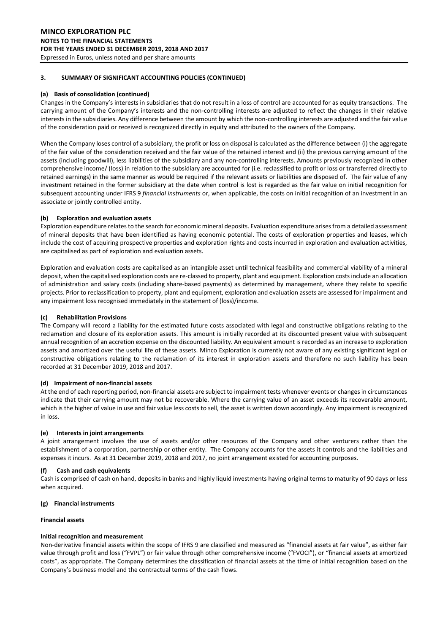# **3. SUMMARY OF SIGNIFICANT ACCOUNTING POLICIES (CONTINUED)**

### **(a) Basis of consolidation (continued)**

Changes in the Company's interests in subsidiaries that do not result in a loss of control are accounted for as equity transactions. The carrying amount of the Company's interests and the non-controlling interests are adjusted to reflect the changes in their relative interests in the subsidiaries. Any difference between the amount by which the non-controlling interests are adjusted and the fair value of the consideration paid or received is recognized directly in equity and attributed to the owners of the Company.

When the Company loses control of a subsidiary, the profit or loss on disposal is calculated as the difference between (i) the aggregate of the fair value of the consideration received and the fair value of the retained interest and (ii) the previous carrying amount of the assets (including goodwill), less liabilities of the subsidiary and any non-controlling interests. Amounts previously recognized in other comprehensive income/ (loss) in relation to the subsidiary are accounted for (i.e. reclassified to profit or loss or transferred directly to retained earnings) in the same manner as would be required if the relevant assets or liabilities are disposed of. The fair value of any investment retained in the former subsidiary at the date when control is lost is regarded as the fair value on initial recognition for subsequent accounting under IFRS 9 *financial instruments* or, when applicable, the costs on initial recognition of an investment in an associate or jointly controlled entity.

# **(b) Exploration and evaluation assets**

Exploration expenditure relates to the search for economic mineral deposits. Evaluation expenditure arises from a detailed assessment of mineral deposits that have been identified as having economic potential. The costs of exploration properties and leases, which include the cost of acquiring prospective properties and exploration rights and costs incurred in exploration and evaluation activities, are capitalised as part of exploration and evaluation assets.

Exploration and evaluation costs are capitalised as an intangible asset until technical feasibility and commercial viability of a mineral deposit, when the capitalised exploration costs are re-classed to property, plant and equipment. Exploration costs include an allocation of administration and salary costs (including share-based payments) as determined by management, where they relate to specific projects. Prior to reclassification to property, plant and equipment, exploration and evaluation assets are assessed for impairment and any impairment loss recognised immediately in the statement of (loss)/income.

# **(c) Rehabilitation Provisions**

The Company will record a liability for the estimated future costs associated with legal and constructive obligations relating to the reclamation and closure of its exploration assets. This amount is initially recorded at its discounted present value with subsequent annual recognition of an accretion expense on the discounted liability. An equivalent amount is recorded as an increase to exploration assets and amortized over the useful life of these assets. Minco Exploration is currently not aware of any existing significant legal or constructive obligations relating to the reclamation of its interest in exploration assets and therefore no such liability has been recorded at 31 December 2019, 2018 and 2017.

# **(d) Impairment of non-financial assets**

At the end of each reporting period, non-financial assets are subject to impairment tests whenever events or changes in circumstances indicate that their carrying amount may not be recoverable. Where the carrying value of an asset exceeds its recoverable amount, which is the higher of value in use and fair value less costs to sell, the asset is written down accordingly. Any impairment is recognized in loss.

# **(e) Interests in joint arrangements**

A joint arrangement involves the use of assets and/or other resources of the Company and other venturers rather than the establishment of a corporation, partnership or other entity. The Company accounts for the assets it controls and the liabilities and expenses it incurs. As at 31 December 2019, 2018 and 2017, no joint arrangement existed for accounting purposes.

# **(f) Cash and cash equivalents**

Cash is comprised of cash on hand, deposits in banks and highly liquid investments having original terms to maturity of 90 days or less when acquired.

# **(g) Financial instruments**

# **Financial assets**

# **Initial recognition and measurement**

Non-derivative financial assets within the scope of IFRS 9 are classified and measured as "financial assets at fair value", as either fair value through profit and loss ("FVPL") or fair value through other comprehensive income ("FVOCI"), or "financial assets at amortized costs", as appropriate. The Company determines the classification of financial assets at the time of initial recognition based on the Company's business model and the contractual terms of the cash flows.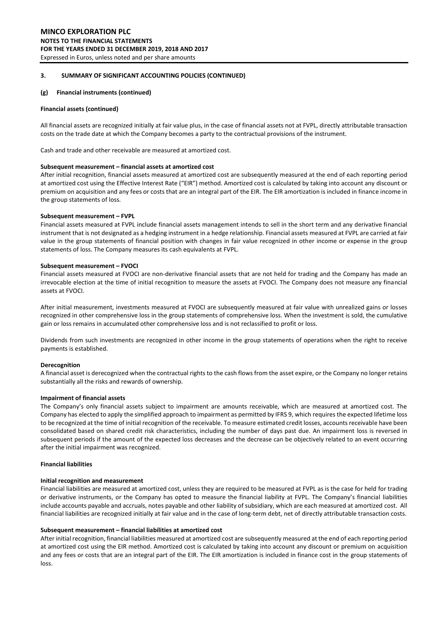# **MINCO EXPLORATION PLC NOTES TO THE FINANCIAL STATEMENTS FOR THE YEARS ENDED 31 DECEMBER 2019, 2018 AND 2017** Expressed in Euros, unless noted and per share amounts

# **3. SUMMARY OF SIGNIFICANT ACCOUNTING POLICIES (CONTINUED)**

### **(g) Financial instruments (continued)**

#### **Financial assets (continued)**

All financial assets are recognized initially at fair value plus, in the case of financial assets not at FVPL, directly attributable transaction costs on the trade date at which the Company becomes a party to the contractual provisions of the instrument.

Cash and trade and other receivable are measured at amortized cost.

#### **Subsequent measurement – financial assets at amortized cost**

After initial recognition, financial assets measured at amortized cost are subsequently measured at the end of each reporting period at amortized cost using the Effective Interest Rate ("EIR") method. Amortized cost is calculated by taking into account any discount or premium on acquisition and any fees or costs that are an integral part of the EIR. The EIR amortization is included in finance income in the group statements of loss.

#### **Subsequent measurement – FVPL**

Financial assets measured at FVPL include financial assets management intends to sell in the short term and any derivative financial instrument that is not designated as a hedging instrument in a hedge relationship. Financial assets measured at FVPL are carried at fair value in the group statements of financial position with changes in fair value recognized in other income or expense in the group statements of loss. The Company measures its cash equivalents at FVPL.

#### **Subsequent measurement – FVOCI**

Financial assets measured at FVOCI are non-derivative financial assets that are not held for trading and the Company has made an irrevocable election at the time of initial recognition to measure the assets at FVOCI. The Company does not measure any financial assets at FVOCI.

After initial measurement, investments measured at FVOCI are subsequently measured at fair value with unrealized gains or losses recognized in other comprehensive loss in the group statements of comprehensive loss. When the investment is sold, the cumulative gain or loss remains in accumulated other comprehensive loss and is not reclassified to profit or loss.

Dividends from such investments are recognized in other income in the group statements of operations when the right to receive payments is established.

#### **Derecognition**

A financial asset is derecognized when the contractual rights to the cash flows from the asset expire, or the Company no longer retains substantially all the risks and rewards of ownership.

#### **Impairment of financial assets**

The Company's only financial assets subject to impairment are amounts receivable, which are measured at amortized cost. The Company has elected to apply the simplified approach to impairment as permitted by IFRS 9, which requires the expected lifetime loss to be recognized at the time of initial recognition of the receivable. To measure estimated credit losses, accounts receivable have been consolidated based on shared credit risk characteristics, including the number of days past due. An impairment loss is reversed in subsequent periods if the amount of the expected loss decreases and the decrease can be objectively related to an event occurring after the initial impairment was recognized.

## **Financial liabilities**

#### **Initial recognition and measurement**

Financial liabilities are measured at amortized cost, unless they are required to be measured at FVPL as is the case for held for trading or derivative instruments, or the Company has opted to measure the financial liability at FVPL. The Company's financial liabilities include accounts payable and accruals, notes payable and other liability of subsidiary, which are each measured at amortized cost. All financial liabilities are recognized initially at fair value and in the case of long-term debt, net of directly attributable transaction costs.

#### **Subsequent measurement – financial liabilities at amortized cost**

After initial recognition, financial liabilities measured at amortized cost are subsequently measured at the end of each reporting period at amortized cost using the EIR method. Amortized cost is calculated by taking into account any discount or premium on acquisition and any fees or costs that are an integral part of the EIR. The EIR amortization is included in finance cost in the group statements of loss.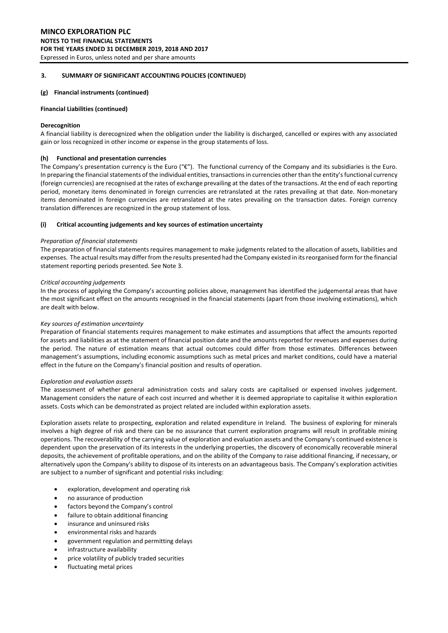# **MINCO EXPLORATION PLC NOTES TO THE FINANCIAL STATEMENTS FOR THE YEARS ENDED 31 DECEMBER 2019, 2018 AND 2017** Expressed in Euros, unless noted and per share amounts

# **3. SUMMARY OF SIGNIFICANT ACCOUNTING POLICIES (CONTINUED)**

# **(g) Financial instruments (continued)**

### **Financial Liabilities (continued)**

### **Derecognition**

A financial liability is derecognized when the obligation under the liability is discharged, cancelled or expires with any associated gain or loss recognized in other income or expense in the group statements of loss.

#### **(h) Functional and presentation currencies**

The Company's presentation currency is the Euro (" $\epsilon$ "). The functional currency of the Company and its subsidiaries is the Euro. In preparing the financial statements of the individual entities, transactions in currencies other than the entity's functional currency (foreign currencies) are recognised at the rates of exchange prevailing at the dates of the transactions. At the end of each reporting period, monetary items denominated in foreign currencies are retranslated at the rates prevailing at that date. Non-monetary items denominated in foreign currencies are retranslated at the rates prevailing on the transaction dates. Foreign currency translation differences are recognized in the group statement of loss.

#### **(i) Critical accounting judgements and key sources of estimation uncertainty**

#### *Preparation of financial statements*

The preparation of financial statements requires management to make judgments related to the allocation of assets, liabilities and expenses. The actual results may differ from the results presented had the Company existed in its reorganised form for the financial statement reporting periods presented. See Note 3.

#### *Critical accounting judgements*

In the process of applying the Company's accounting policies above, management has identified the judgemental areas that have the most significant effect on the amounts recognised in the financial statements (apart from those involving estimations), which are dealt with below.

# *Key sources of estimation uncertainty*

Preparation of financial statements requires management to make estimates and assumptions that affect the amounts reported for assets and liabilities as at the statement of financial position date and the amounts reported for revenues and expenses during the period. The nature of estimation means that actual outcomes could differ from those estimates. Differences between management's assumptions, including economic assumptions such as metal prices and market conditions, could have a material effect in the future on the Company's financial position and results of operation.

#### *Exploration and evaluation assets*

The assessment of whether general administration costs and salary costs are capitalised or expensed involves judgement. Management considers the nature of each cost incurred and whether it is deemed appropriate to capitalise it within exploration assets. Costs which can be demonstrated as project related are included within exploration assets.

Exploration assets relate to prospecting, exploration and related expenditure in Ireland. The business of exploring for minerals involves a high degree of risk and there can be no assurance that current exploration programs will result in profitable mining operations. The recoverability of the carrying value of exploration and evaluation assets and the Company's continued existence is dependent upon the preservation of its interests in the underlying properties, the discovery of economically recoverable mineral deposits, the achievement of profitable operations, and on the ability of the Company to raise additional financing, if necessary, or alternatively upon the Company's ability to dispose of its interests on an advantageous basis. The Company's exploration activities are subject to a number of significant and potential risks including:

- exploration, development and operating risk
- no assurance of production
- factors beyond the Company's control
- failure to obtain additional financing
- insurance and uninsured risks
- environmental risks and hazards
- government regulation and permitting delays
- infrastructure availability
- price volatility of publicly traded securities
- fluctuating metal prices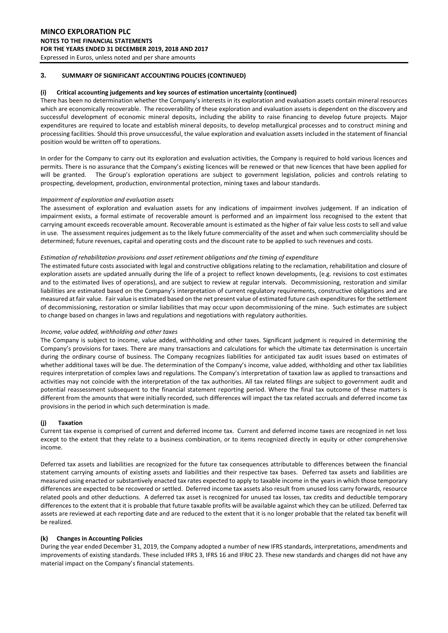# **3. SUMMARY OF SIGNIFICANT ACCOUNTING POLICIES (CONTINUED)**

### **(i) Critical accounting judgements and key sources of estimation uncertainty (continued)**

There has been no determination whether the Company's interests in its exploration and evaluation assets contain mineral resources which are economically recoverable. The recoverability of these exploration and evaluation assets is dependent on the discovery and successful development of economic mineral deposits, including the ability to raise financing to develop future projects. Major expenditures are required to locate and establish mineral deposits, to develop metallurgical processes and to construct mining and processing facilities. Should this prove unsuccessful, the value exploration and evaluation assets included in the statement of financial position would be written off to operations.

In order for the Company to carry out its exploration and evaluation activities, the Company is required to hold various licences and permits. There is no assurance that the Company's existing licences will be renewed or that new licences that have been applied for will be granted. The Group's exploration operations are subject to government legislation, policies and controls relating to prospecting, development, production, environmental protection, mining taxes and labour standards.

#### *Impairment of exploration and evaluation assets*

The assessment of exploration and evaluation assets for any indications of impairment involves judgement. If an indication of impairment exists, a formal estimate of recoverable amount is performed and an impairment loss recognised to the extent that carrying amount exceeds recoverable amount. Recoverable amount is estimated as the higher of fair value less costs to sell and value in use. The assessment requires judgement as to the likely future commerciality of the asset and when such commerciality should be determined; future revenues, capital and operating costs and the discount rate to be applied to such revenues and costs.

#### *Estimation of rehabilitation provisions and asset retirement obligations and the timing of expenditure*

The estimated future costs associated with legal and constructive obligations relating to the reclamation, rehabilitation and closure of exploration assets are updated annually during the life of a project to reflect known developments, (e.g. revisions to cost estimates and to the estimated lives of operations), and are subject to review at regular intervals. Decommissioning, restoration and similar liabilities are estimated based on the Company's interpretation of current regulatory requirements, constructive obligations and are measured at fair value. Fair value is estimated based on the net present value of estimated future cash expenditures for the settlement of decommissioning, restoration or similar liabilities that may occur upon decommissioning of the mine. Such estimates are subject to change based on changes in laws and regulations and negotiations with regulatory authorities.

# *Income, value added, withholding and other taxes*

The Company is subject to income, value added, withholding and other taxes. Significant judgment is required in determining the Company's provisions for taxes. There are many transactions and calculations for which the ultimate tax determination is uncertain during the ordinary course of business. The Company recognizes liabilities for anticipated tax audit issues based on estimates of whether additional taxes will be due. The determination of the Company's income, value added, withholding and other tax liabilities requires interpretation of complex laws and regulations. The Company's interpretation of taxation law as applied to transactions and activities may not coincide with the interpretation of the tax authorities. All tax related filings are subject to government audit and potential reassessment subsequent to the financial statement reporting period. Where the final tax outcome of these matters is different from the amounts that were initially recorded, such differences will impact the tax related accruals and deferred income tax provisions in the period in which such determination is made.

# **(j) Taxation**

Current tax expense is comprised of current and deferred income tax. Current and deferred income taxes are recognized in net loss except to the extent that they relate to a business combination, or to items recognized directly in equity or other comprehensive income.

Deferred tax assets and liabilities are recognized for the future tax consequences attributable to differences between the financial statement carrying amounts of existing assets and liabilities and their respective tax bases. Deferred tax assets and liabilities are measured using enacted or substantively enacted tax rates expected to apply to taxable income in the years in which those temporary differences are expected to be recovered or settled. Deferred income tax assets also result from unused loss carry forwards, resource related pools and other deductions. A deferred tax asset is recognized for unused tax losses, tax credits and deductible temporary differences to the extent that it is probable that future taxable profits will be available against which they can be utilized. Deferred tax assets are reviewed at each reporting date and are reduced to the extent that it is no longer probable that the related tax benefit will be realized.

# **(k) Changes in Accounting Policies**

During the year ended December 31, 2019, the Company adopted a number of new IFRS standards, interpretations, amendments and improvements of existing standards. These included IFRS 3, IFRS 16 and IFRIC 23. These new standards and changes did not have any material impact on the Company's financial statements.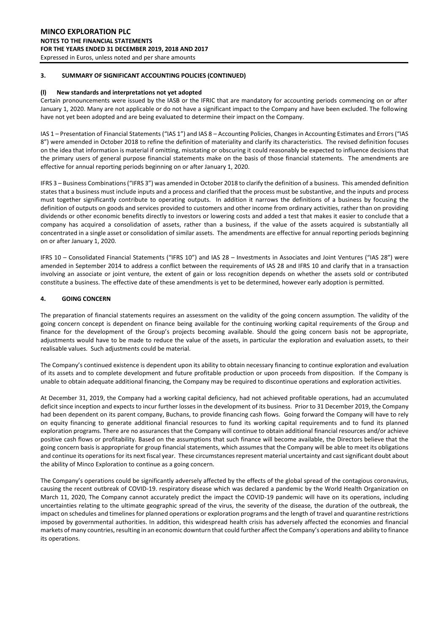# **3. SUMMARY OF SIGNIFICANT ACCOUNTING POLICIES (CONTINUED)**

# **(l) New standards and interpretations not yet adopted**

Certain pronouncements were issued by the IASB or the IFRIC that are mandatory for accounting periods commencing on or after January 1, 2020. Many are not applicable or do not have a significant impact to the Company and have been excluded. The following have not yet been adopted and are being evaluated to determine their impact on the Company.

IAS 1 – Presentation of Financial Statements ("IAS 1") and IAS 8 – Accounting Policies, Changes in Accounting Estimates and Errors ("IAS 8") were amended in October 2018 to refine the definition of materiality and clarify its characteristics. The revised definition focuses on the idea that information is material if omitting, misstating or obscuring it could reasonably be expected to influence decisions that the primary users of general purpose financial statements make on the basis of those financial statements. The amendments are effective for annual reporting periods beginning on or after January 1, 2020.

IFRS 3 – Business Combinations ("IFRS 3") was amended in October 2018 to clarify the definition of a business. This amended definition states that a business must include inputs and a process and clarified that the process must be substantive, and the inputs and process must together significantly contribute to operating outputs. In addition it narrows the definitions of a business by focusing the definition of outputs on goods and services provided to customers and other income from ordinary activities, rather than on providing dividends or other economic benefits directly to investors or lowering costs and added a test that makes it easier to conclude that a company has acquired a consolidation of assets, rather than a business, if the value of the assets acquired is substantially all concentrated in a single asset or consolidation of similar assets. The amendments are effective for annual reporting periods beginning on or after January 1, 2020.

IFRS 10 – Consolidated Financial Statements ("IFRS 10") and IAS 28 – Investments in Associates and Joint Ventures ("IAS 28") were amended in September 2014 to address a conflict between the requirements of IAS 28 and IFRS 10 and clarify that in a transaction involving an associate or joint venture, the extent of gain or loss recognition depends on whether the assets sold or contributed constitute a business. The effective date of these amendments is yet to be determined, however early adoption is permitted.

# **4. GOING CONCERN**

The preparation of financial statements requires an assessment on the validity of the going concern assumption. The validity of the going concern concept is dependent on finance being available for the continuing working capital requirements of the Group and finance for the development of the Group's projects becoming available. Should the going concern basis not be appropriate, adjustments would have to be made to reduce the value of the assets, in particular the exploration and evaluation assets, to their realisable values. Such adjustments could be material.

The Company's continued existence is dependent upon its ability to obtain necessary financing to continue exploration and evaluation of its assets and to complete development and future profitable production or upon proceeds from disposition. If the Company is unable to obtain adequate additional financing, the Company may be required to discontinue operations and exploration activities.

At December 31, 2019, the Company had a working capital deficiency, had not achieved profitable operations, had an accumulated deficit since inception and expects to incur further losses in the development of its business. Prior to 31 December 2019, the Company had been dependent on its parent company, Buchans, to provide financing cash flows. Going forward the Company will have to rely on equity financing to generate additional financial resources to fund its working capital requirements and to fund its planned exploration programs. There are no assurances that the Company will continue to obtain additional financial resources and/or achieve positive cash flows or profitability. Based on the assumptions that such finance will become available, the Directors believe that the going concern basis is appropriate for group financial statements, which assumes that the Company will be able to meet its obligations and continue its operations for its next fiscal year. These circumstances represent material uncertainty and cast significant doubt about the ability of Minco Exploration to continue as a going concern.

The Company's operations could be significantly adversely affected by the effects of the global spread of the contagious coronavirus, causing the recent outbreak of COVID-19. respiratory disease which was declared a pandemic by the World Health Organization on March 11, 2020, The Company cannot accurately predict the impact the COVID-19 pandemic will have on its operations, including uncertainties relating to the ultimate geographic spread of the virus, the severity of the disease, the duration of the outbreak, the impact on schedules and timelines for planned operations or exploration programs and the length of travel and quarantine restrictions imposed by governmental authorities. In addition, this widespread health crisis has adversely affected the economies and financial markets of many countries, resulting in an economic downturn that could further affect the Company's operations and ability to finance its operations.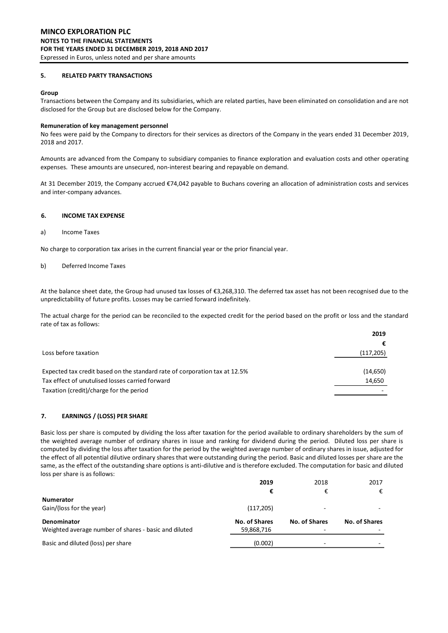# **MINCO EXPLORATION PLC NOTES TO THE FINANCIAL STATEMENTS FOR THE YEARS ENDED 31 DECEMBER 2019, 2018 AND 2017** Expressed in Euros, unless noted and per share amounts

# **5. RELATED PARTY TRANSACTIONS**

#### **Group**

Transactions between the Company and its subsidiaries, which are related parties, have been eliminated on consolidation and are not disclosed for the Group but are disclosed below for the Company.

#### **Remuneration of key management personnel**

No fees were paid by the Company to directors for their services as directors of the Company in the years ended 31 December 2019, 2018 and 2017.

Amounts are advanced from the Company to subsidiary companies to finance exploration and evaluation costs and other operating expenses. These amounts are unsecured, non-interest bearing and repayable on demand.

At 31 December 2019, the Company accrued €74,042 payable to Buchans covering an allocation of administration costs and services and inter-company advances.

#### **6. INCOME TAX EXPENSE**

#### a) Income Taxes

No charge to corporation tax arises in the current financial year or the prior financial year.

### b) Deferred Income Taxes

At the balance sheet date, the Group had unused tax losses of €3,268,310. The deferred tax asset has not been recognised due to the unpredictability of future profits. Losses may be carried forward indefinitely.

The actual charge for the period can be reconciled to the expected credit for the period based on the profit or loss and the standard rate of tax as follows:

|                                                                            | 2019       |
|----------------------------------------------------------------------------|------------|
|                                                                            | €          |
| Loss before taxation                                                       | (117, 205) |
|                                                                            |            |
| Expected tax credit based on the standard rate of corporation tax at 12.5% | (14,650)   |
| Tax effect of unutulised losses carried forward                            | 14,650     |
| Taxation (credit)/charge for the period                                    |            |

# **7. EARNINGS / (LOSS) PER SHARE**

Basic loss per share is computed by dividing the loss after taxation for the period available to ordinary shareholders by the sum of the weighted average number of ordinary shares in issue and ranking for dividend during the period. Diluted loss per share is computed by dividing the loss after taxation for the period by the weighted average number of ordinary shares in issue, adjusted for the effect of all potential dilutive ordinary shares that were outstanding during the period. Basic and diluted losses per share are the same, as the effect of the outstanding share options is anti-dilutive and is therefore excluded. The computation for basic and diluted loss per share is as follows:

|                                                       | 2019                 | 2018                 | 2017          |
|-------------------------------------------------------|----------------------|----------------------|---------------|
|                                                       | €                    | €                    | €             |
| <b>Numerator</b>                                      |                      |                      |               |
| Gain/(loss for the year)                              | (117, 205)           | -                    |               |
| <b>Denominator</b>                                    | <b>No. of Shares</b> | <b>No. of Shares</b> | No. of Shares |
| Weighted average number of shares - basic and diluted | 59,868,716           | -                    |               |
| Basic and diluted (loss) per share                    | (0.002)              | -                    |               |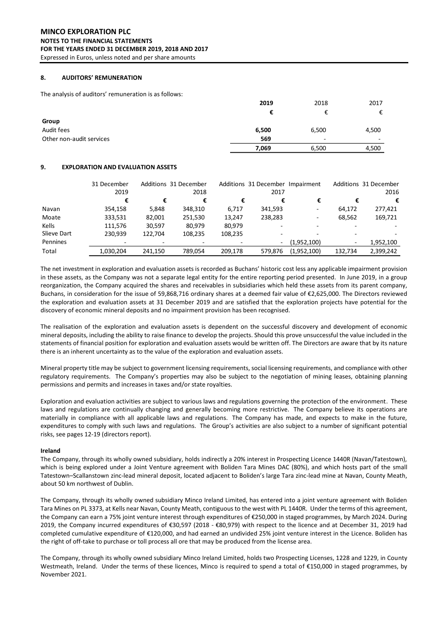# **MINCO EXPLORATION PLC NOTES TO THE FINANCIAL STATEMENTS FOR THE YEARS ENDED 31 DECEMBER 2019, 2018 AND 2017** Expressed in Euros, unless noted and per share amounts

#### **8. AUDITORS' REMUNERATION**

The analysis of auditors' remuneration is as follows:

|                          | 2019  | 2018                     | 2017  |
|--------------------------|-------|--------------------------|-------|
|                          |       | €                        | €     |
| Group                    |       |                          |       |
| Audit fees               | 6,500 | 6,500                    | 4,500 |
| Other non-audit services | 569   | $\overline{\phantom{a}}$ | ۰     |
|                          | 7,069 | 6,500                    | 4,500 |

#### **9. EXPLORATION AND EVALUATION ASSETS**

|             | 31 December<br>2019 |         | Additions 31 December<br>2018 |         | Additions 31 December Impairment<br>2017 |             |         | Additions 31 December<br>2016 |
|-------------|---------------------|---------|-------------------------------|---------|------------------------------------------|-------------|---------|-------------------------------|
|             | €                   | €       | €                             | €       | €                                        | €           |         | €                             |
| Navan       | 354,158             | 5,848   | 348,310                       | 6,717   | 341,593                                  | ٠           | 64,172  | 277,421                       |
| Moate       | 333,531             | 82,001  | 251,530                       | 13,247  | 238,283                                  | ۰           | 68,562  | 169,721                       |
| Kells       | 111,576             | 30,597  | 80.979                        | 80.979  |                                          | -           |         |                               |
| Slieve Dart | 230.939             | 122.704 | 108.235                       | 108.235 |                                          |             |         |                               |
| Pennines    |                     |         |                               |         |                                          | (1,952,100) |         | 1,952,100                     |
| Total       | 1,030,204           | 241,150 | 789.054                       | 209.178 | 579,876                                  | (1,952,100) | 132,734 | 2,399,242                     |

The net investment in exploration and evaluation assets is recorded as Buchans' historic cost less any applicable impairment provision in these assets, as the Company was not a separate legal entity for the entire reporting period presented. In June 2019, in a group reorganization, the Company acquired the shares and receivables in subsidiaries which held these assets from its parent company, Buchans, in consideration for the issue of 59,868,716 ordinary shares at a deemed fair value of €2,625,000. The Directors reviewed the exploration and evaluation assets at 31 December 2019 and are satisfied that the exploration projects have potential for the discovery of economic mineral deposits and no impairment provision has been recognised.

The realisation of the exploration and evaluation assets is dependent on the successful discovery and development of economic mineral deposits, including the ability to raise finance to develop the projects. Should this prove unsuccessful the value included in the statements of financial position for exploration and evaluation assets would be written off. The Directors are aware that by its nature there is an inherent uncertainty as to the value of the exploration and evaluation assets.

Mineral property title may be subject to government licensing requirements, social licensing requirements, and compliance with other regulatory requirements. The Company's properties may also be subject to the negotiation of mining leases, obtaining planning permissions and permits and increases in taxes and/or state royalties.

Exploration and evaluation activities are subject to various laws and regulations governing the protection of the environment. These laws and regulations are continually changing and generally becoming more restrictive. The Company believe its operations are materially in compliance with all applicable laws and regulations. The Company has made, and expects to make in the future, expenditures to comply with such laws and regulations. The Group's activities are also subject to a number of significant potential risks, see pages 12-19 (directors report).

#### **Ireland**

The Company, through its wholly owned subsidiary, holds indirectly a 20% interest in Prospecting Licence 1440R (Navan/Tatestown), which is being explored under a Joint Venture agreement with Boliden Tara Mines DAC (80%), and which hosts part of the small Tatestown–Scallanstown zinc-lead mineral deposit, located adjacent to Boliden's large Tara zinc-lead mine at Navan, County Meath, about 50 km northwest of Dublin.

The Company, through its wholly owned subsidiary Minco Ireland Limited, has entered into a joint venture agreement with Boliden Tara Mines on PL 3373, at Kells near Navan, County Meath, contiguous to the west with PL 1440R. Under the terms of this agreement, the Company can earn a 75% joint venture interest through expenditures of €250,000 in staged programmes, by March 2024. During 2019, the Company incurred expenditures of €30,597 (2018 - €80,979) with respect to the licence and at December 31, 2019 had completed cumulative expenditure of €120,000, and had earned an undivided 25% joint venture interest in the Licence. Boliden has the right of off-take to purchase or toll process all ore that may be produced from the license area.

The Company, through its wholly owned subsidiary Minco Ireland Limited, holds two Prospecting Licenses, 1228 and 1229, in County Westmeath, Ireland. Under the terms of these licences, Minco is required to spend a total of €150,000 in staged programmes, by November 2021.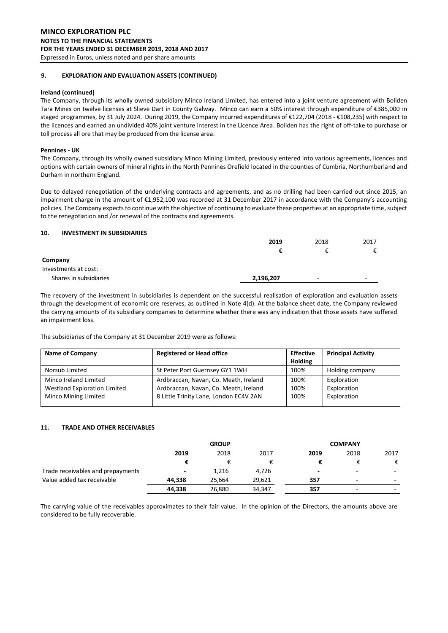# **9. EXPLORATION AND EVALUATION ASSETS (CONTINUED)**

# **Ireland (continued)**

The Company, through its wholly owned subsidiary Minco Ireland Limited, has entered into a joint venture agreement with Boliden Tara Mines on twelve licenses at Slieve Dart in County Galway. Minco can earn a 50% interest through expenditure of €385,000 in staged programmes, by 31 July 2024. During 2019, the Company incurred expenditures of €122,704 (2018 - €108,235) with respect to the licences and earned an undivided 40% joint venture interest in the Licence Area. Boliden has the right of off-take to purchase or toll process all ore that may be produced from the license area.

# **Pennines - UK**

The Company, through its wholly owned subsidiary Minco Mining Limited, previously entered into various agreements, licences and options with certain owners of mineral rights in the North Pennines Orefield located in the counties of Cumbria, Northumberland and Durham in northern England.

Due to delayed renegotiation of the underlying contracts and agreements, and as no drilling had been carried out since 2015, an impairment charge in the amount of €1,952,100 was recorded at 31 December 2017 in accordance with the Company's accounting policies. The Company expects to continue with the objective of continuing to evaluate these properties at an appropriate time, subject to the renegotiation and /or renewal of the contracts and agreements.

# **10. INVESTMENT IN SUBSIDIARIES**

|                        | 2019      | 2018   | 2017   |
|------------------------|-----------|--------|--------|
|                        |           |        |        |
| Company                |           |        |        |
| Investments at cost:   |           |        |        |
| Shares in subsidiaries | 2,196,207 | $\sim$ | $\sim$ |
|                        |           |        |        |

The recovery of the investment in subsidiaries is dependent on the successful realisation of exploration and evaluation assets through the development of economic ore reserves, as outlined in Note 4(d). At the balance sheet date, the Company reviewed the carrying amounts of its subsidiary companies to determine whether there was any indication that those assets have suffered an impairment loss.

The subsidiaries of the Company at 31 December 2019 were as follows:

| <b>Name of Company</b>              | <b>Registered or Head office</b>       |                | <b>Principal Activity</b> |
|-------------------------------------|----------------------------------------|----------------|---------------------------|
|                                     |                                        | <b>Holding</b> |                           |
| Norsub Limited                      | St Peter Port Guernsey GY1 1WH         | 100%           | Holding company           |
| Minco Ireland Limited               | Ardbraccan, Navan, Co. Meath, Ireland  | 100%           | Exploration               |
| <b>Westland Exploration Limited</b> | Ardbraccan, Navan, Co. Meath, Ireland  | 100%           | Exploration               |
| Minco Mining Limited                | 8 Little Trinity Lane, London EC4V 2AN | 100%           | Exploration               |

# **11. TRADE AND OTHER RECEIVABLES**

|                                   | <b>GROUP</b>             |        |        | <b>COMPANY</b>           |      |      |
|-----------------------------------|--------------------------|--------|--------|--------------------------|------|------|
|                                   | 2019                     | 2018   |        | 2019                     | 2018 | 2017 |
|                                   |                          |        |        |                          |      | €    |
| Trade receivables and prepayments | $\overline{\phantom{0}}$ | 1,216  | 4.726  | $\overline{\phantom{0}}$ | ÷    | -    |
| Value added tax receivable        | 44.338                   | 25.664 | 29,621 | 357                      | ÷    | -    |
|                                   | 44,338                   | 26.880 | 34,347 | 357                      | -    | -    |

The carrying value of the receivables approximates to their fair value. In the opinion of the Directors, the amounts above are considered to be fully recoverable.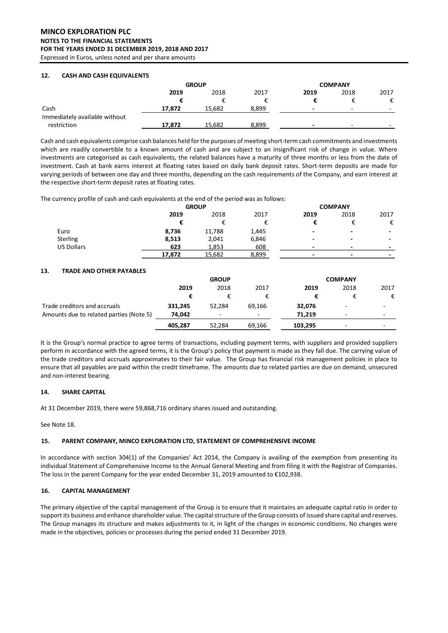# **MINCO EXPLORATION PLC NOTES TO THE FINANCIAL STATEMENTS FOR THE YEARS ENDED 31 DECEMBER 2019, 2018 AND 2017**

Expressed in Euros, unless noted and per share amounts

# **12. CASH AND CASH EQUIVALENTS**

| . .                           | <b>GROUP</b> |        |       | <b>COMPANY</b> |        |                          |
|-------------------------------|--------------|--------|-------|----------------|--------|--------------------------|
|                               | 2019         | 2018   | 2017  | 2019           | 2018   | 2017                     |
|                               |              |        |       |                |        | €                        |
| Cash                          | 17.872       | 15.682 | 8,899 | -              | $\sim$ | $\overline{\phantom{0}}$ |
| Immediately available without |              |        |       |                |        |                          |
| restriction                   | 17,872       | 15,682 | 8,899 | -              | $\sim$ | $\sim$                   |

Cash and cash equivalents comprise cash balances held for the purposes of meeting short-term cash commitments and investments which are readily convertible to a known amount of cash and are subject to an insignificant risk of change in value. Where investments are categorised as cash equivalents, the related balances have a maturity of three months or less from the date of investment. Cash at bank earns interest at floating rates based on daily bank deposit rates. Short-term deposits are made for varying periods of between one day and three months, depending on the cash requirements of the Company, and earn interest at the respective short-term deposit rates at floating rates.

The currency profile of cash and cash equivalents at the end of the period was as follows:

|                   | <b>GROUP</b> |        |       | <b>COMPANY</b>           |                          |      |
|-------------------|--------------|--------|-------|--------------------------|--------------------------|------|
|                   | 2019         | 2018   | 2017  | 2019                     | 2018                     | 2017 |
|                   |              |        |       |                          | c                        | €    |
| Euro              | 8,736        | 11,788 | 1,445 | -                        | -                        | -    |
| Sterling          | 8,513        | 2,041  | 6,846 | $\overline{\phantom{0}}$ | $\overline{\phantom{0}}$ | ۰    |
| <b>US Dollars</b> | 623          | 1,853  | 608   | -                        | -                        |      |
|                   | 17,872       | 15,682 | 8,899 | -                        | -                        | -    |

# **13. TRADE AND OTHER PAYABLES**

|                                         | <b>GROUP</b> |        |                          | <b>COMPANY</b> |      |      |
|-----------------------------------------|--------------|--------|--------------------------|----------------|------|------|
|                                         | 2018<br>2019 |        | 2017                     | 2019           | 2018 | 2017 |
|                                         |              |        |                          |                |      | €    |
| Trade creditors and accruals            | 331.245      | 52.284 | 69.166                   | 32,076         | ٠    |      |
| Amounts due to related parties (Note 5) | 74,042       | ۰      | $\overline{\phantom{a}}$ | 71.219         | -    | ۰    |
|                                         | 405,287      | 52.284 | 69.166                   | 103,295        | -    | -    |

It is the Group's normal practice to agree terms of transactions, including payment terms, with suppliers and provided suppliers perform in accordance with the agreed terms, it is the Group's policy that payment is made as they fall due. The carrying value of the trade creditors and accruals approximates to their fair value. The Group has financial risk management policies in place to ensure that all payables are paid within the credit timeframe. The amounts due to related parties are due on demand, unsecured and non-interest bearing.

# **14. SHARE CAPITAL**

At 31 December 2019, there were 59,868,716 ordinary shares issued and outstanding.

See Note 18.

# **15. PARENT COMPANY, MINCO EXPLORATION LTD, STATEMENT OF COMPREHENSIVE INCOME**

In accordance with section 304(1) of the Companies' Act 2014, the Company is availing of the exemption from presenting its individual Statement of Comprehensive Income to the Annual General Meeting and from filing it with the Registrar of Companies. The loss in the parent Company for the year ended December 31, 2019 amounted to €102,938.

# **16. CAPITAL MANAGEMENT**

The primary objective of the capital management of the Group is to ensure that it maintains an adequate capital ratio in order to support its business and enhance shareholder value. The capital structure of the Group consists of issued share capital and reserves. The Group manages its structure and makes adjustments to it, in light of the changes in economic conditions. No changes were made in the objectives, policies or processes during the period ended 31 December 2019.